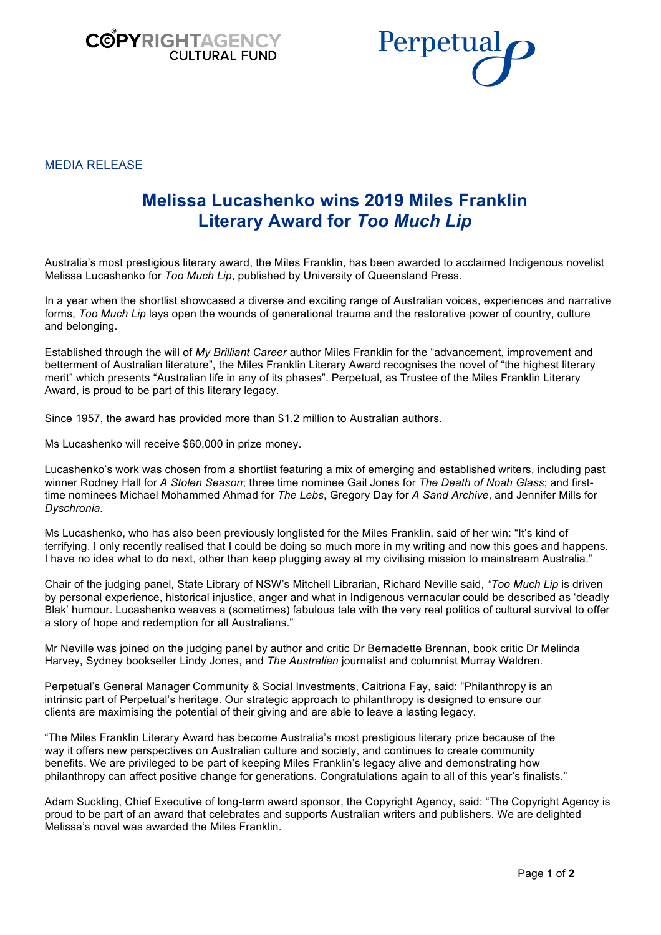



MEDIA RELEASE

# **Melissa Lucashenko wins 2019 Miles Franklin Literary Award for** *Too Much Lip*

Australia's most prestigious literary award, the Miles Franklin, has been awarded to acclaimed Indigenous novelist Melissa Lucashenko for *Too Much Lip*, published by University of Queensland Press.

In a year when the shortlist showcased a diverse and exciting range of Australian voices, experiences and narrative forms, *Too Much Lip* lays open the wounds of generational trauma and the restorative power of country, culture and belonging.

Established through the will of *My Brilliant Career* author Miles Franklin for the "advancement, improvement and betterment of Australian literature", the Miles Franklin Literary Award recognises the novel of "the highest literary merit" which presents "Australian life in any of its phases". Perpetual, as Trustee of the Miles Franklin Literary Award, is proud to be part of this literary legacy.

Since 1957, the award has provided more than \$1.2 million to Australian authors.

Ms Lucashenko will receive \$60,000 in prize money.

Lucashenko's work was chosen from a shortlist featuring a mix of emerging and established writers, including past winner Rodney Hall for *A Stolen Season*; three time nominee Gail Jones for *The Death of Noah Glass*; and firsttime nominees Michael Mohammed Ahmad for *The Lebs*, Gregory Day for *A Sand Archive*, and Jennifer Mills for *Dyschronia.*

Ms Lucashenko, who has also been previously longlisted for the Miles Franklin, said of her win: "It's kind of terrifying. I only recently realised that I could be doing so much more in my writing and now this goes and happens. I have no idea what to do next, other than keep plugging away at my civilising mission to mainstream Australia."

Chair of the judging panel, State Library of NSW's Mitchell Librarian, Richard Neville said, *"Too Much Lip* is driven by personal experience, historical injustice, anger and what in Indigenous vernacular could be described as 'deadly Blak' humour. Lucashenko weaves a (sometimes) fabulous tale with the very real politics of cultural survival to offer a story of hope and redemption for all Australians."

Mr Neville was joined on the judging panel by author and critic Dr Bernadette Brennan, book critic Dr Melinda Harvey, Sydney bookseller Lindy Jones, and *The Australian* journalist and columnist Murray Waldren.

Perpetual's General Manager Community & Social Investments, Caitriona Fay, said: "Philanthropy is an intrinsic part of Perpetual's heritage. Our strategic approach to philanthropy is designed to ensure our clients are maximising the potential of their giving and are able to leave a lasting legacy.

"The Miles Franklin Literary Award has become Australia's most prestigious literary prize because of the way it offers new perspectives on Australian culture and society, and continues to create community benefits. We are privileged to be part of keeping Miles Franklin's legacy alive and demonstrating how philanthropy can affect positive change for generations. Congratulations again to all of this year's finalists."

Adam Suckling, Chief Executive of long-term award sponsor, the Copyright Agency, said: "The Copyright Agency is proud to be part of an award that celebrates and supports Australian writers and publishers. We are delighted Melissa's novel was awarded the Miles Franklin.